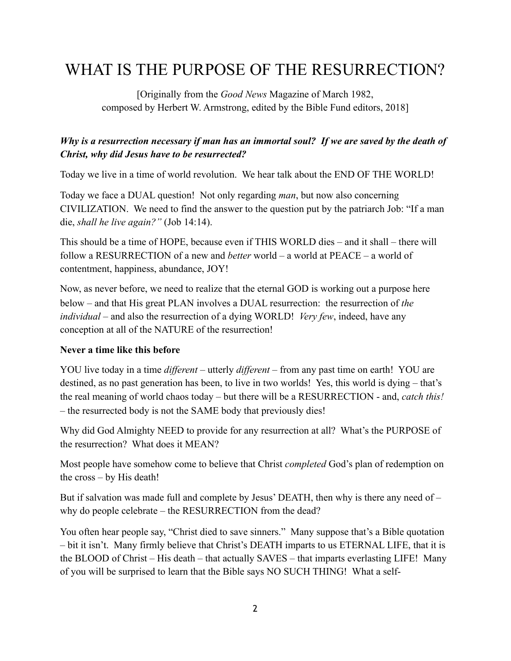# WHAT IS THE PURPOSE OF THE RESURRECTION?

[Originally from the *Good News* Magazine of March 1982, composed by Herbert W. Armstrong, edited by the Bible Fund editors, 2018]

# *Why is a resurrection necessary if man has an immortal soul? If we are saved by the death of Christ, why did Jesus have to be resurrected?*

Today we live in a time of world revolution. We hear talk about the END OF THE WORLD!

Today we face a DUAL question! Not only regarding *man*, but now also concerning CIVILIZATION. We need to find the answer to the question put by the patriarch Job: "If a man die, *shall he live again?"* (Job 14:14).

This should be a time of HOPE, because even if THIS WORLD dies – and it shall – there will follow a RESURRECTION of a new and *better* world – a world at PEACE – a world of contentment, happiness, abundance, JOY!

Now, as never before, we need to realize that the eternal GOD is working out a purpose here below – and that His great PLAN involves a DUAL resurrection: the resurrection of *the individual* – and also the resurrection of a dying WORLD! *Very few*, indeed, have any conception at all of the NATURE of the resurrection!

## **Never a time like this before**

YOU live today in a time *different* – utterly *different* – from any past time on earth! YOU are destined, as no past generation has been, to live in two worlds! Yes, this world is dying – that's the real meaning of world chaos today – but there will be a RESURRECTION - and, *catch this!* – the resurrected body is not the SAME body that previously dies!

Why did God Almighty NEED to provide for any resurrection at all? What's the PURPOSE of the resurrection? What does it MEAN?

Most people have somehow come to believe that Christ *completed* God's plan of redemption on the cross – by His death!

But if salvation was made full and complete by Jesus' DEATH, then why is there any need of  $$ why do people celebrate – the RESURRECTION from the dead?

You often hear people say, "Christ died to save sinners." Many suppose that's a Bible quotation – bit it isn't. Many firmly believe that Christ's DEATH imparts to us ETERNAL LIFE, that it is the BLOOD of Christ – His death – that actually SAVES – that imparts everlasting LIFE! Many of you will be surprised to learn that the Bible says NO SUCH THING! What a self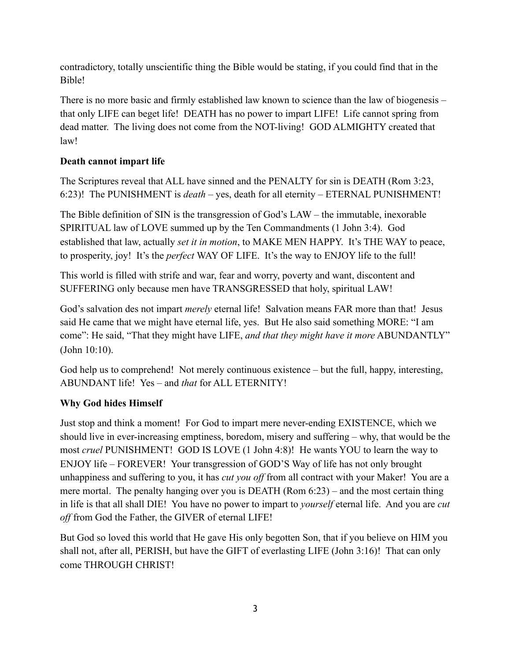contradictory, totally unscientific thing the Bible would be stating, if you could find that in the Bible!

There is no more basic and firmly established law known to science than the law of biogenesis – that only LIFE can beget life! DEATH has no power to impart LIFE! Life cannot spring from dead matter. The living does not come from the NOT-living! GOD ALMIGHTY created that law!

## **Death cannot impart life**

The Scriptures reveal that ALL have sinned and the PENALTY for sin is DEATH (Rom 3:23, 6:23)! The PUNISHMENT is *death* – yes, death for all eternity – ETERNAL PUNISHMENT!

The Bible definition of SIN is the transgression of God's LAW – the immutable, inexorable SPIRITUAL law of LOVE summed up by the Ten Commandments (1 John 3:4). God established that law, actually *set it in motion*, to MAKE MEN HAPPY. It's THE WAY to peace, to prosperity, joy! It's the *perfect* WAY OF LIFE. It's the way to ENJOY life to the full!

This world is filled with strife and war, fear and worry, poverty and want, discontent and SUFFERING only because men have TRANSGRESSED that holy, spiritual LAW!

God's salvation des not impart *merely* eternal life! Salvation means FAR more than that! Jesus said He came that we might have eternal life, yes. But He also said something MORE: "I am come": He said, "That they might have LIFE, *and that they might have it more* ABUNDANTLY" (John 10:10).

God help us to comprehend! Not merely continuous existence – but the full, happy, interesting, ABUNDANT life! Yes – and *that* for ALL ETERNITY!

# **Why God hides Himself**

Just stop and think a moment! For God to impart mere never-ending EXISTENCE, which we should live in ever-increasing emptiness, boredom, misery and suffering – why, that would be the most *cruel* PUNISHMENT! GOD IS LOVE (1 John 4:8)! He wants YOU to learn the way to ENJOY life – FOREVER! Your transgression of GOD'S Way of life has not only brought unhappiness and suffering to you, it has *cut you off* from all contract with your Maker! You are a mere mortal. The penalty hanging over you is DEATH (Rom 6:23) – and the most certain thing in life is that all shall DIE! You have no power to impart to *yourself* eternal life. And you are *cut off* from God the Father, the GIVER of eternal LIFE!

But God so loved this world that He gave His only begotten Son, that if you believe on HIM you shall not, after all, PERISH, but have the GIFT of everlasting LIFE (John 3:16)! That can only come THROUGH CHRIST!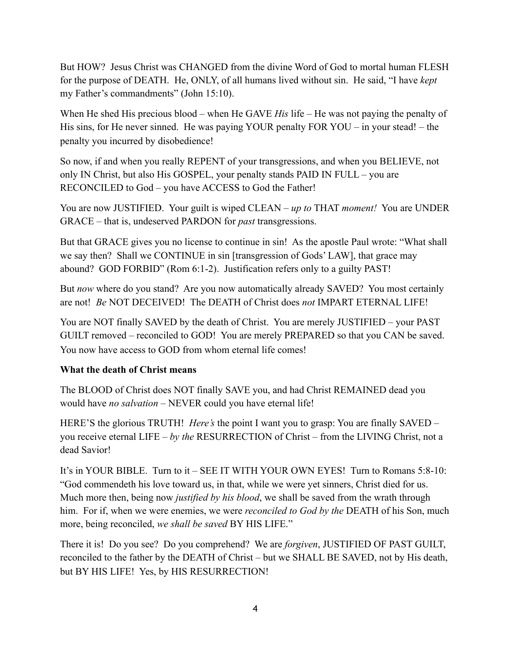But HOW? Jesus Christ was CHANGED from the divine Word of God to mortal human FLESH for the purpose of DEATH. He, ONLY, of all humans lived without sin. He said, "I have *kept* my Father's commandments" (John 15:10).

When He shed His precious blood – when He GAVE *His* life – He was not paying the penalty of His sins, for He never sinned. He was paying YOUR penalty FOR YOU – in your stead! – the penalty you incurred by disobedience!

So now, if and when you really REPENT of your transgressions, and when you BELIEVE, not only IN Christ, but also His GOSPEL, your penalty stands PAID IN FULL – you are RECONCILED to God – you have ACCESS to God the Father!

You are now JUSTIFIED. Your guilt is wiped CLEAN – *up to* THAT *moment!* You are UNDER GRACE – that is, undeserved PARDON for *past* transgressions.

But that GRACE gives you no license to continue in sin! As the apostle Paul wrote: "What shall we say then? Shall we CONTINUE in sin [transgression of Gods' LAW], that grace may abound? GOD FORBID" (Rom 6:1-2). Justification refers only to a guilty PAST!

But *now* where do you stand? Are you now automatically already SAVED? You most certainly are not! *Be* NOT DECEIVED! The DEATH of Christ does *not* IMPART ETERNAL LIFE!

You are NOT finally SAVED by the death of Christ. You are merely JUSTIFIED – your PAST GUILT removed – reconciled to GOD! You are merely PREPARED so that you CAN be saved. You now have access to GOD from whom eternal life comes!

#### **What the death of Christ means**

The BLOOD of Christ does NOT finally SAVE you, and had Christ REMAINED dead you would have *no salvation* – NEVER could you have eternal life!

HERE'S the glorious TRUTH! *Here's* the point I want you to grasp: You are finally SAVED – you receive eternal LIFE – *by the* RESURRECTION of Christ – from the LIVING Christ, not a dead Savior!

It's in YOUR BIBLE. Turn to it – SEE IT WITH YOUR OWN EYES! Turn to Romans 5:8-10: "God commendeth his love toward us, in that, while we were yet sinners, Christ died for us. Much more then, being now *justified by his blood*, we shall be saved from the wrath through him. For if, when we were enemies, we were *reconciled to God by the* DEATH of his Son, much more, being reconciled, *we shall be saved* BY HIS LIFE."

There it is! Do you see? Do you comprehend? We are *forgiven*, JUSTIFIED OF PAST GUILT, reconciled to the father by the DEATH of Christ – but we SHALL BE SAVED, not by His death, but BY HIS LIFE! Yes, by HIS RESURRECTION!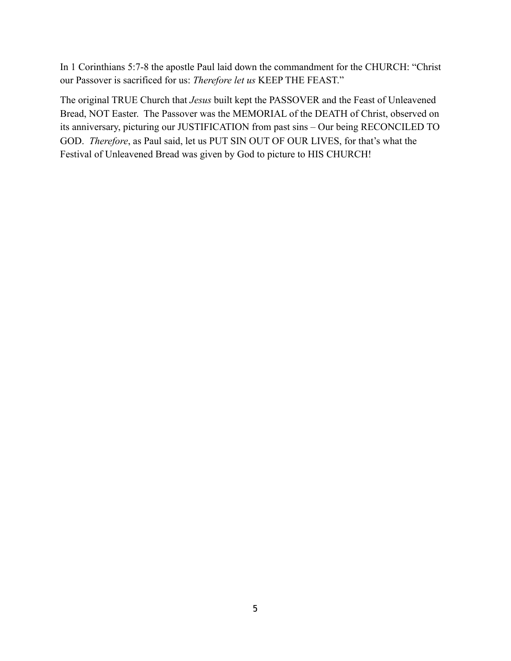In 1 Corinthians 5:7-8 the apostle Paul laid down the commandment for the CHURCH: "Christ our Passover is sacrificed for us: *Therefore let us* KEEP THE FEAST."

The original TRUE Church that *Jesus* built kept the PASSOVER and the Feast of Unleavened Bread, NOT Easter. The Passover was the MEMORIAL of the DEATH of Christ, observed on its anniversary, picturing our JUSTIFICATION from past sins – Our being RECONCILED TO GOD. *Therefore*, as Paul said, let us PUT SIN OUT OF OUR LIVES, for that's what the Festival of Unleavened Bread was given by God to picture to HIS CHURCH!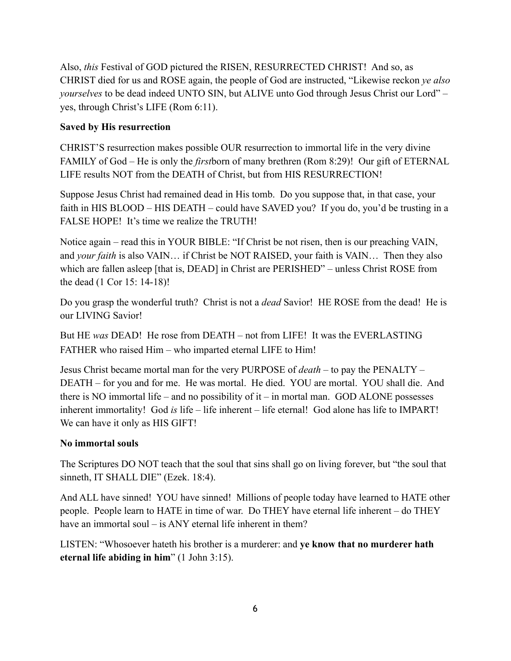Also, *this* Festival of GOD pictured the RISEN, RESURRECTED CHRIST! And so, as CHRIST died for us and ROSE again, the people of God are instructed, "Likewise reckon *ye also yourselves* to be dead indeed UNTO SIN, but ALIVE unto God through Jesus Christ our Lord" – yes, through Christ's LIFE (Rom 6:11).

### **Saved by His resurrection**

CHRIST'S resurrection makes possible OUR resurrection to immortal life in the very divine FAMILY of God – He is only the *first*born of many brethren (Rom 8:29)! Our gift of ETERNAL LIFE results NOT from the DEATH of Christ, but from HIS RESURRECTION!

Suppose Jesus Christ had remained dead in His tomb. Do you suppose that, in that case, your faith in HIS BLOOD – HIS DEATH – could have SAVED you? If you do, you'd be trusting in a FALSE HOPE! It's time we realize the TRUTH!

Notice again – read this in YOUR BIBLE: "If Christ be not risen, then is our preaching VAIN, and *your faith* is also VAIN… if Christ be NOT RAISED, your faith is VAIN… Then they also which are fallen asleep [that is, DEAD] in Christ are PERISHED" – unless Christ ROSE from the dead (1 Cor 15: 14-18)!

Do you grasp the wonderful truth? Christ is not a *dead* Savior! HE ROSE from the dead! He is our LIVING Savior!

But HE *was* DEAD! He rose from DEATH – not from LIFE! It was the EVERLASTING FATHER who raised Him – who imparted eternal LIFE to Him!

Jesus Christ became mortal man for the very PURPOSE of *death* – to pay the PENALTY – DEATH – for you and for me. He was mortal. He died. YOU are mortal. YOU shall die. And there is NO immortal life – and no possibility of it – in mortal man. GOD ALONE possesses inherent immortality! God *is* life – life inherent – life eternal! God alone has life to IMPART! We can have it only as HIS GIFT!

#### **No immortal souls**

The Scriptures DO NOT teach that the soul that sins shall go on living forever, but "the soul that sinneth, IT SHALL DIE" (Ezek. 18:4).

And ALL have sinned! YOU have sinned! Millions of people today have learned to HATE other people. People learn to HATE in time of war. Do THEY have eternal life inherent – do THEY have an immortal soul – is ANY eternal life inherent in them?

LISTEN: "Whosoever hateth his brother is a murderer: and **ye know that no murderer hath eternal life abiding in him**" (1 John 3:15).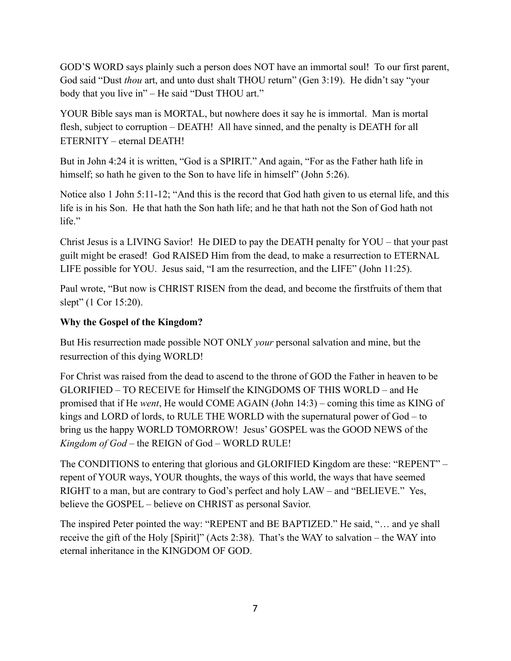GOD'S WORD says plainly such a person does NOT have an immortal soul! To our first parent, God said "Dust *thou* art, and unto dust shalt THOU return" (Gen 3:19). He didn't say "your body that you live in" – He said "Dust THOU art."

YOUR Bible says man is MORTAL, but nowhere does it say he is immortal. Man is mortal flesh, subject to corruption – DEATH! All have sinned, and the penalty is DEATH for all ETERNITY – eternal DEATH!

But in John 4:24 it is written, "God is a SPIRIT." And again, "For as the Father hath life in himself; so hath he given to the Son to have life in himself" (John 5:26).

Notice also 1 John 5:11-12; "And this is the record that God hath given to us eternal life, and this life is in his Son. He that hath the Son hath life; and he that hath not the Son of God hath not life."

Christ Jesus is a LIVING Savior! He DIED to pay the DEATH penalty for YOU – that your past guilt might be erased! God RAISED Him from the dead, to make a resurrection to ETERNAL LIFE possible for YOU. Jesus said, "I am the resurrection, and the LIFE" (John 11:25).

Paul wrote, "But now is CHRIST RISEN from the dead, and become the firstfruits of them that slept" (1 Cor 15:20).

## **Why the Gospel of the Kingdom?**

But His resurrection made possible NOT ONLY *your* personal salvation and mine, but the resurrection of this dying WORLD!

For Christ was raised from the dead to ascend to the throne of GOD the Father in heaven to be GLORIFIED – TO RECEIVE for Himself the KINGDOMS OF THIS WORLD – and He promised that if He *went*, He would COME AGAIN (John 14:3) – coming this time as KING of kings and LORD of lords, to RULE THE WORLD with the supernatural power of God – to bring us the happy WORLD TOMORROW! Jesus' GOSPEL was the GOOD NEWS of the *Kingdom of God* – the REIGN of God – WORLD RULE!

The CONDITIONS to entering that glorious and GLORIFIED Kingdom are these: "REPENT" – repent of YOUR ways, YOUR thoughts, the ways of this world, the ways that have seemed RIGHT to a man, but are contrary to God's perfect and holy LAW – and "BELIEVE." Yes, believe the GOSPEL – believe on CHRIST as personal Savior.

The inspired Peter pointed the way: "REPENT and BE BAPTIZED." He said, "… and ye shall receive the gift of the Holy [Spirit]" (Acts 2:38). That's the WAY to salvation – the WAY into eternal inheritance in the KINGDOM OF GOD.